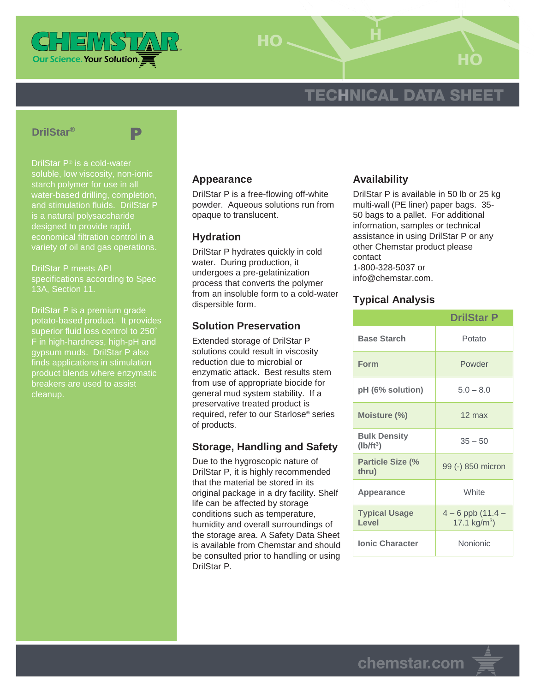

HO-

# **TECHNICAL DATA SHEET**

#### **DrilStar®**



DrilStar P® is a cold-water soluble, low viscosity, non-ionic water-based drilling, completion, and stimulation fluids. DrilStar P is a natural polysaccharide designed to provide rapid, economical filtration control in a variety of oil and gas operations.

DrilStar P meets API specifications according to Spec 13A, Section 11.

DrilStar P is a premium grade potato-based product. It provides superior fluid loss control to 250° F in high-hardness, high-pH and gypsum muds. DrilStar P also finds applications in stimulation product blends where enzymatic breakers are used to assist cleanup.

#### **Appearance**

DrilStar P is a free-flowing off-white powder. Aqueous solutions run from opaque to translucent.

### **Hydration**

DrilStar P hydrates quickly in cold water. During production, it undergoes a pre-gelatinization process that converts the polymer from an insoluble form to a cold-water dispersible form.

## **Solution Preservation**

Extended storage of DrilStar P solutions could result in viscosity reduction due to microbial or enzymatic attack. Best results stem from use of appropriate biocide for general mud system stability. If a preservative treated product is required, refer to our Starlose® series of products.

# **Storage, Handling and Safety**

Due to the hygroscopic nature of DrilStar P, it is highly recommended that the material be stored in its original package in a dry facility. Shelf life can be affected by storage conditions such as temperature, humidity and overall surroundings of the storage area. A Safety Data Sheet is available from Chemstar and should be consulted prior to handling or using DrilStar P.

### **Availability**

DrilStar P is available in 50 lb or 25 kg multi-wall (PE liner) paper bags. 35- 50 bags to a pallet. For additional information, samples or technical assistance in using DrilStar P or any other Chemstar product please contact 1-800-328-5037 or info@chemstar.com.

## **Typical Analysis**

|                                    | <b>DrilStar P</b>                        |
|------------------------------------|------------------------------------------|
| <b>Base Starch</b>                 | Potato                                   |
| <b>Form</b>                        | Powder                                   |
| pH (6% solution)                   | $5.0 - 8.0$                              |
| Moisture (%)                       | $12 \text{ max}$                         |
| <b>Bulk Density</b><br>$(Ib/ft^3)$ | $35 - 50$                                |
| <b>Particle Size (%</b><br>thru)   | 99 (-) 850 micron                        |
| Appearance                         | White                                    |
| <b>Typical Usage</b><br>Level      | $4 - 6$ ppb $(11.4 -$<br>17.1 $kg/m^3$ ) |
| <b>Ionic Character</b>             | Nonionic                                 |